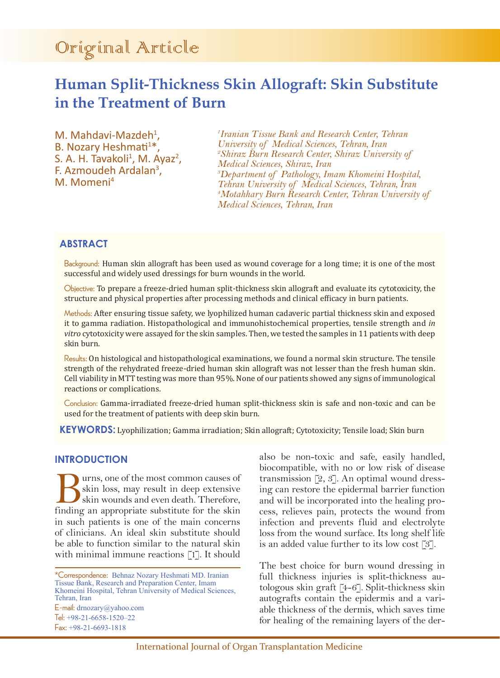# Original Article

## **Human Split-Thickness Skin Allograft: Skin Substitute in the Treatment of Burn**

M. Mahdavi-Mazdeh<sup>1</sup>. M. Mahdavi-Mazdeh<sup>1</sup>,<br>B. Nozary Heshmati<sup>1\*</sup>, S. A. H. Tavakoli<sup>1</sup>, M. Ayaz<sup>2</sup>,<br>F. Azmoudeh Ardalan<sup>3</sup>, F. Azmoudeh Ardalan<sup>3</sup>,<br>M. Momeni<sup>4</sup>

*1 Iranian Tissue Bank and Research Center, Tehran University of Medical Sciences, Tehran, Iran 2 Shiraz Burn Research Center, Shiraz University of Medical Sciences, Shiraz, Iran 3 Department of Pathology, Imam Khomeini Hospital, Tehran University of Medical Sciences, Tehran, Iran 4 Motahhary Burn Research Center, Tehran University of Medical Sciences, Tehran, Iran*

## **ABSTRACT**

Background: Human skin allograft has been used as wound coverage for a long time; it is one of the most successful and widely used dressings for burn wounds in the world.

Objective: To prepare a freeze-dried human split-thickness skin allograft and evaluate its cytotoxicity, the structure and physical properties after processing methods and clinical efficacy in burn patients.

Methods: After ensuring tissue safety, we lyophilized human cadaveric partial thickness skin and exposed it to gamma radiation. Histopathological and immunohistochemical properties, tensile strength and *in vitro* cytotoxicity were assayed for the skin samples. Then, we tested the samples in 11 patients with deep skin burn.

Results: On histological and histopathological examinations, we found a normal skin structure. The tensile strength of the rehydrated freeze-dried human skin allograft was not lesser than the fresh human skin. Cell viability in MTT testing was more than 95%. None of our patients showed any signs of immunological reactions or complications.

Conclusion: Gamma-irradiated freeze-dried human split-thickness skin is safe and non-toxic and can be used for the treatment of patients with deep skin burn.

**KEYWORDS:** Lyophilization; Gamma irradiation; Skin allograft; Cytotoxicity; Tensile load; Skin burn

## **INTRODUCTION**

**Burns, one of the most common causes of** skin loss, may result in deep extensive skin wounds and even death. Therefore, finding an appropriate substitute for the skin skin loss, may result in deep extensive skin wounds and even death. Therefore, finding an appropriate substitute for the skin in such patients is one of the main concerns of clinicians. An ideal skin substitute should be able to function similar to the natural skin with minimal immune reactions [1]. It should

\*Correspondence: Behnaz Nozary Heshmati MD. Iranian Tissue Bank, Research and Preparation Center, Imam Khomeini Hospital, Tehran University of Medical Sciences, Tehran, Iran E-mail: drnozary@yahoo.com Tel: +98-21-6658-1520–22 Fax: +98-21-6693-1818

also be non-toxic and safe, easily handled, biocompatible, with no or low risk of disease transmission [2, 3]. An optimal wound dressing can restore the epidermal barrier function and will be incorporated into the healing process, relieves pain, protects the wound from infection and prevents fluid and electrolyte loss from the wound surface. Its long shelf life is an added value further to its low cost [3].

The best choice for burn wound dressing in full thickness injuries is split-thickness autologous skin graft [4-6]. Split-thickness skin autografts contain the epidermis and a variable thickness of the dermis, which saves time for healing of the remaining layers of the der-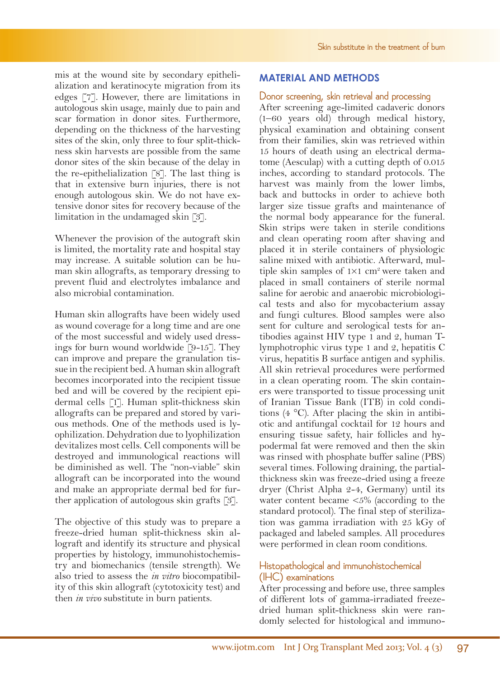mis at the wound site by secondary epithelialization and keratinocyte migration from its edges [7]. However, there are limitations in autologous skin usage, mainly due to pain and scar formation in donor sites. Furthermore, depending on the thickness of the harvesting sites of the skin, only three to four split-thickness skin harvests are possible from the same donor sites of the skin because of the delay in the re-epithelialization [8]. The last thing is that in extensive burn injuries, there is not enough autologous skin. We do not have extensive donor sites for recovery because of the limitation in the undamaged skin [3].

Whenever the provision of the autograft skin is limited, the mortality rate and hospital stay may increase. A suitable solution can be human skin allografts, as temporary dressing to prevent fluid and electrolytes imbalance and also microbial contamination.

Human skin allografts have been widely used as wound coverage for a long time and are one of the most successful and widely used dressings for burn wound worldwide [9-15]. They can improve and prepare the granulation tissue in the recipient bed. A human skin allograft becomes incorporated into the recipient tissue bed and will be covered by the recipient epidermal cells [1]. Human split-thickness skin allografts can be prepared and stored by various methods. One of the methods used is lyophilization. Dehydration due to lyophilization devitalizes most cells. Cell components will be destroyed and immunological reactions will be diminished as well. The "non-viable" skin allograft can be incorporated into the wound and make an appropriate dermal bed for further application of autologous skin grafts [3].

The objective of this study was to prepare a freeze-dried human split-thickness skin allograft and identify its structure and physical properties by histology, immunohistochemistry and biomechanics (tensile strength). We also tried to assess the *in vitro* biocompatibility of this skin allograft (cytotoxicity test) and then *in vivo* substitute in burn patients.

## **MATERIAL AND METHODS**

#### Donor screening, skin retrieval and processing

After screening age-limited cadaveric donors (1–60 years old) through medical history, physical examination and obtaining consent from their families, skin was retrieved within 15 hours of death using an electrical dermatome (Aesculap) with a cutting depth of 0.015 inches, according to standard protocols. The harvest was mainly from the lower limbs, back and buttocks in order to achieve both larger size tissue grafts and maintenance of the normal body appearance for the funeral. Skin strips were taken in sterile conditions and clean operating room after shaving and placed it in sterile containers of physiologic saline mixed with antibiotic. Afterward, multiple skin samples of  $1\times1$  cm<sup>2</sup> were taken and placed in small containers of sterile normal saline for aerobic and anaerobic microbiological tests and also for mycobacterium assay and fungi cultures. Blood samples were also sent for culture and serological tests for antibodies against HIV type 1 and 2, human Tlymphotrophic virus type 1 and 2, hepatitis C virus, hepatitis B surface antigen and syphilis. All skin retrieval procedures were performed in a clean operating room. The skin containers were transported to tissue processing unit of Iranian Tissue Bank (ITB) in cold conditions (4 °C). After placing the skin in antibiotic and antifungal cocktail for 12 hours and ensuring tissue safety, hair follicles and hypodermal fat were removed and then the skin was rinsed with phosphate buffer saline (PBS) several times. Following draining, the partialthickness skin was freeze-dried using a freeze dryer (Christ Alpha 2-4, Germany) until its water content became <5% (according to the standard protocol). The final step of sterilization was gamma irradiation with 25 kGy of packaged and labeled samples. All procedures were performed in clean room conditions.

## Histopathological and immunohistochemical (IHC) examinations

After processing and before use, three samples of different lots of gamma-irradiated freezedried human split-thickness skin were randomly selected for histological and immuno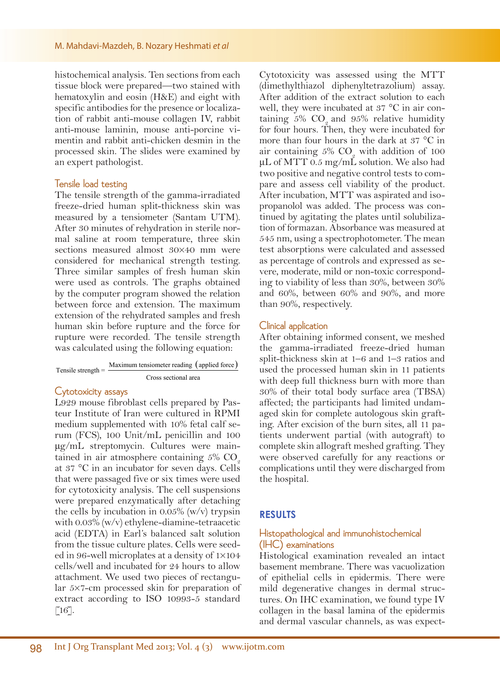histochemical analysis. Ten sections from each tissue block were prepared—two stained with hematoxylin and eosin (H&E) and eight with specific antibodies for the presence or localization of rabbit anti-mouse collagen IV, rabbit anti-mouse laminin, mouse anti-porcine vimentin and rabbit anti-chicken desmin in the processed skin. The slides were examined by an expert pathologist.

#### Tensile load testing

The tensile strength of the gamma-irradiated freeze-dried human split-thickness skin was measured by a tensiometer (Santam UTM). After 30 minutes of rehydration in sterile normal saline at room temperature, three skin sections measured almost 30×40 mm were considered for mechanical strength testing. Three similar samples of fresh human skin were used as controls. The graphs obtained by the computer program showed the relation between force and extension. The maximum extension of the rehydrated samples and fresh human skin before rupture and the force for rupture were recorded. The tensile strength was calculated using the following equation:

| Tensile strength $=$ $-$ | Maximum tensiometer reading (applied force) |
|--------------------------|---------------------------------------------|
|                          | Cross sectional area                        |

#### Cytotoxicity assays

L929 mouse fibroblast cells prepared by Pasteur Institute of Iran were cultured in RPMI medium supplemented with 10% fetal calf serum (FCS), 100 Unit/mL penicillin and 100 μg/mL streptomycin. Cultures were maintained in air atmosphere containing  $5\%$  CO<sub>2</sub> at 37 °C in an incubator for seven days. Cells that were passaged five or six times were used for cytotoxicity analysis. The cell suspensions were prepared enzymatically after detaching the cells by incubation in 0.05% (w/v) trypsin with 0.03% (w/v) ethylene-diamine-tetraacetic acid (EDTA) in Earl's balanced salt solution from the tissue culture plates. Cells were seeded in 96-well microplates at a density of 1×104 cells/well and incubated for 24 hours to allow attachment. We used two pieces of rectangular 5×7-cm processed skin for preparation of extract according to ISO 10993-5 standard  $\left[16\right].$ 

Cytotoxicity was assessed using the MTT (dimethylthiazol diphenyltetrazolium) assay. After addition of the extract solution to each well, they were incubated at 37 °C in air containing  $5\%$  CO and  $95\%$  relative humidity for four hours. Then, they were incubated for more than four hours in the dark at 37 °C in air containing  $5\%$  CO<sub>2</sub> with addition of 100  $\mu$ L of MTT 0.5 mg/mL solution. We also had two positive and negative control tests to compare and assess cell viability of the product. After incubation, MTT was aspirated and isopropanolol was added. The process was continued by agitating the plates until solubilization of formazan. Absorbance was measured at 545 nm, using a spectrophotometer. The mean test absorptions were calculated and assessed as percentage of controls and expressed as severe, moderate, mild or non-toxic corresponding to viability of less than 30%, between 30% and 60%, between 60% and 90%, and more than 90%, respectively.

#### Clinical application

After obtaining informed consent, we meshed the gamma-irradiated freeze-dried human split-thickness skin at 1–6 and 1–3 ratios and used the processed human skin in 11 patients with deep full thickness burn with more than 30% of their total body surface area (TBSA) affected; the participants had limited undamaged skin for complete autologous skin grafting. After excision of the burn sites, all 11 patients underwent partial (with autograft) to complete skin allograft meshed grafting. They were observed carefully for any reactions or complications until they were discharged from the hospital.

#### **RESULTS**

#### Histopathological and immunohistochemical (IHC) examinations

Histological examination revealed an intact basement membrane. There was vacuolization of epithelial cells in epidermis. There were mild degenerative changes in dermal structures. On IHC examination, we found type IV collagen in the basal lamina of the epidermis and dermal vascular channels, as was expect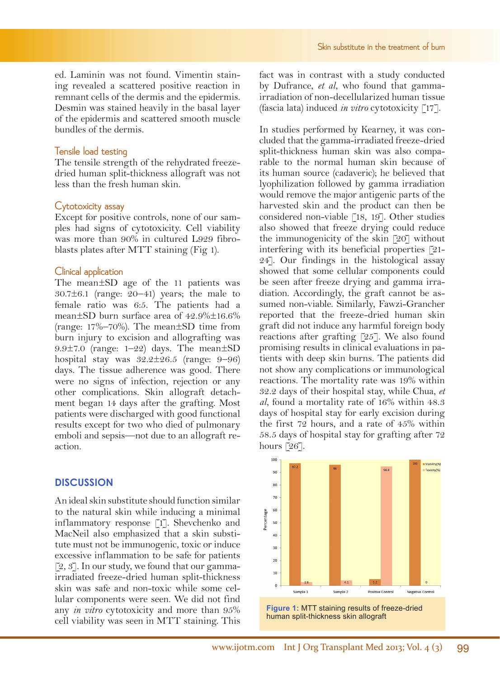ed. Laminin was not found. Vimentin staining revealed a scattered positive reaction in remnant cells of the dermis and the epidermis. Desmin was stained heavily in the basal layer of the epidermis and scattered smooth muscle bundles of the dermis.

#### Tensile load testing

The tensile strength of the rehydrated freezedried human split-thickness allograft was not less than the fresh human skin.

#### Cytotoxicity assay

Except for positive controls, none of our samples had signs of cytotoxicity. Cell viability was more than 90% in cultured L929 fibroblasts plates after MTT staining (Fig 1).

#### Clinical application

The mean±SD age of the 11 patients was  $30.7\pm6.1$  (range:  $20-41$ ) years; the male to female ratio was 6:5. The patients had a mean±SD burn surface area of 42.9%±16.6% (range: 17%–70%). The mean±SD time from burn injury to excision and allografting was 9.9±7.0 (range: 1–22) days. The mean±SD hospital stay was  $32.2 \pm 26.5$  (range: 9–96) days. The tissue adherence was good. There were no signs of infection, rejection or any other complications. Skin allograft detachment began 14 days after the grafting. Most patients were discharged with good functional results except for two who died of pulmonary emboli and sepsis—not due to an allograft reaction.

## **DISCUSSION**

An ideal skin substitute should function similar to the natural skin while inducing a minimal inflammatory response [1]. Shevchenko and MacNeil also emphasized that a skin substitute must not be immunogenic, toxic or induce excessive inflammation to be safe for patients  $[2, 3]$ . In our study, we found that our gammairradiated freeze-dried human split-thickness skin was safe and non-toxic while some cellular components were seen. We did not find any *in vitro* cytotoxicity and more than 95% cell viability was seen in MTT staining. This

fact was in contrast with a study conducted by Dufrance, *et al*, who found that gammairradiation of non-decellularized human tissue (fascia lata) induced *in vitro* cytotoxicity [17].

In studies performed by Kearney, it was concluded that the gamma-irradiated freeze-dried split-thickness human skin was also comparable to the normal human skin because of its human source (cadaveric); he believed that lyophilization followed by gamma irradiation would remove the major antigenic parts of the harvested skin and the product can then be considered non-viable [18, 19]. Other studies also showed that freeze drying could reduce the immunogenicity of the skin [20] without interfering with its beneficial properties [21- 24]. Our findings in the histological assay showed that some cellular components could be seen after freeze drying and gamma irradiation. Accordingly, the graft cannot be assumed non-viable. Similarly, Fawzi-Grancher reported that the freeze-dried human skin graft did not induce any harmful foreign body reactions after grafting [25]. We also found promising results in clinical evaluations in patients with deep skin burns. The patients did not show any complications or immunological reactions. The mortality rate was 19% within 32.2 days of their hospital stay, while Chua, *et al*, found a mortality rate of 16% within 48.3 days of hospital stay for early excision during the first 72 hours, and a rate of 45% within 58.5 days of hospital stay for grafting after 72 hours [26].



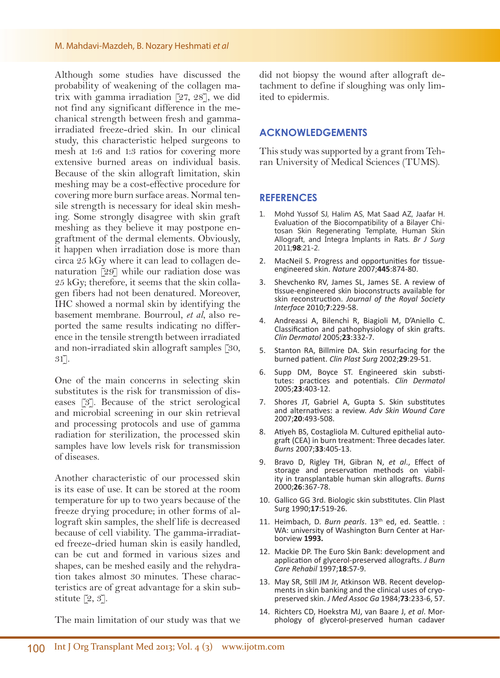#### M. Mahdavi-Mazdeh, B. Nozary Heshmati *et al*

Although some studies have discussed the probability of weakening of the collagen matrix with gamma irradiation [27, 28], we did not find any significant difference in the mechanical strength between fresh and gammairradiated freeze-dried skin. In our clinical study, this characteristic helped surgeons to mesh at 1:6 and 1:3 ratios for covering more extensive burned areas on individual basis. Because of the skin allograft limitation, skin meshing may be a cost-effective procedure for covering more burn surface areas. Normal tensile strength is necessary for ideal skin meshing. Some strongly disagree with skin graft meshing as they believe it may postpone engraftment of the dermal elements. Obviously, it happen when irradiation dose is more than circa 25 kGy where it can lead to collagen denaturation [29] while our radiation dose was 25 kGy; therefore, it seems that the skin collagen fibers had not been denatured. Moreover, IHC showed a normal skin by identifying the basement membrane. Bourroul, *et al*, also reported the same results indicating no difference in the tensile strength between irradiated and non-irradiated skin allograft samples [30, 31].

One of the main concerns in selecting skin substitutes is the risk for transmission of diseases [3]. Because of the strict serological and microbial screening in our skin retrieval and processing protocols and use of gamma radiation for sterilization, the processed skin samples have low levels risk for transmission of diseases.

Another characteristic of our processed skin is its ease of use. It can be stored at the room temperature for up to two years because of the freeze drying procedure; in other forms of allograft skin samples, the shelf life is decreased because of cell viability. The gamma-irradiated freeze-dried human skin is easily handled, can be cut and formed in various sizes and shapes, can be meshed easily and the rehydration takes almost 30 minutes. These characteristics are of great advantage for a skin substitute [2, 3].

The main limitation of our study was that we

did not biopsy the wound after allograft detachment to define if sloughing was only limited to epidermis.

#### **ACKNOWLEDGEMENTS**

This study was supported by a grant from Tehran University of Medical Sciences (TUMS).

#### **REFERENCES**

- 1. Mohd Yussof SJ, Halim AS, Mat Saad AZ, Jaafar H. Evaluation of the Biocompatibility of a Bilayer Chitosan Skin Regenerating Template, Human Skin Allograft, and Integra Implants in Rats. *Br J Surg*  2011;**98**:21-2.
- 2. MacNeil S. Progress and opportunities for tissueengineered skin. *Nature* 2007;**445**:874-80.
- 3. Shevchenko RV, James SL, James SE. A review of tissue-engineered skin bioconstructs available for skin reconstruction. *Journal of the Royal Society Interface* 2010;**7**:229-58.
- 4. Andreassi A, Bilenchi R, Biagioli M, D'Aniello C. Classification and pathophysiology of skin grafts. *Clin Dermatol* 2005;**23**:332-7.
- 5. Stanton RA, Billmire DA. Skin resurfacing for the burned patient. *Clin Plast Surg* 2002;**29**:29-51.
- 6. Supp DM, Boyce ST. Engineered skin substitutes: practices and potentials. *Clin Dermatol* 2005;**23**:403-12.
- 7. Shores JT, Gabriel A, Gupta S. Skin substitutes and alternatives: a review. *Adv Skin Wound Care* 2007;**20**:493-508.
- 8. Atiyeh BS, Costagliola M. Cultured epithelial autograft (CEA) in burn treatment: Three decades later. *Burns* 2007;**33**:405-13.
- 9. Bravo D, Rigley TH, Gibran N, *et al*., Effect of ity in transplantable human skin allografts. Burns 2000;**26**:367-78.
- 10. Gallico GG 3rd. Biologic skin substitutes. Clin Plast Surg 1990;**17**:519-26.
- 11. Heimbach, D. Burn pearls. 13<sup>th</sup> ed, ed. Seattle. : WA: university of Washington Burn Center at Harborview **1993.**
- 12. Mackie DP. The Euro Skin Bank: development and application of glycerol-preserved allografts. *J Burn Care Rehabil* 1997;**18**:S7-9.
- 13. May SR, Still JM Jr, Atkinson WB. Recent develop- ments in skin banking and the clinical uses of cryo- preserved skin. *J Med Assoc Ga* 1984;**73**:233-6, 57.
- 14. Richters CD, Hoekstra MJ, van Baare J, *et al*. Morphology of glycerol-preserved human cadaver